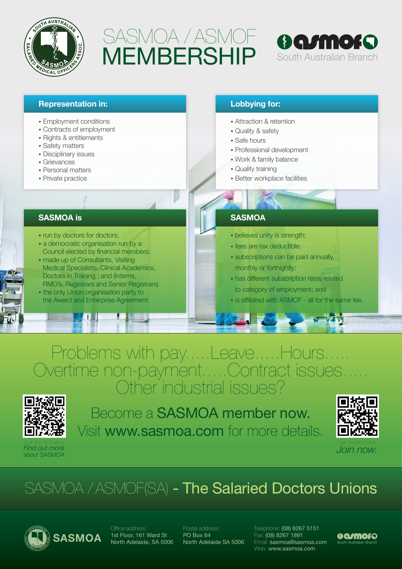

# MEMBERSHIP SASMOA / ASMOF



| <b>Representation in:</b>                                                      | <b>Lobbying for:</b>                       |
|--------------------------------------------------------------------------------|--------------------------------------------|
| • Employment conditions                                                        | • Attraction & retention                   |
| • Contracts of employment                                                      | • Quality & safety                         |
| • Rights & entitlements                                                        | • Safe hours                               |
| • Safety matters                                                               | • Professional development                 |
| • Disciplinary issues<br>• Grievances                                          | • Work & family balance                    |
| • Personal matters                                                             | • Quality training                         |
| • Private practice                                                             | • Better workplace facilities              |
|                                                                                |                                            |
|                                                                                |                                            |
| <b>SASMOA</b> is                                                               | <b>SASMOA</b>                              |
| • run by doctors for doctors;                                                  | • believes unity is strength;              |
| • a democratic organisation run by a                                           | · fees are tax deductible;                 |
| Council elected by financial members;                                          | • subscriptions can be paid annually,      |
| • made up of Consultants, Visiting<br>Medical Specialists, Clinical Academics, |                                            |
| Doctors in Training; and (Interns,                                             | monthly or fortnightly;                    |
| RMO's, Registrars and Senior Registrars)                                       | • has different subscription rates related |
|                                                                                | to category of employment; and             |
| • the only Union organisation party to                                         |                                            |

### Problems with pay.....Leave.....Hours...... Overtime non-payment.....Contract issues..... Other industrial issues?



*Scan the QR code to Find out more about SASMOA*

Become a SASMOA member now. Visit www.sasmoa.com for more details.



## SASMOA / ASMOF(SA) - The Salaried Doctors Unions



Office address: 1st Floor, 161 Ward St North Adelaide, SA 5006 Postal address: PO Box 64 North Adelaide SA 5006

Telephone: (08) 8267 5151 Fax: (08) 8267 1891 SASMOA IST Floor, The Video State of PO Box 64<br>Sasmoa@sasmoa.com South Australian Branch Web: www.sasmoa.com